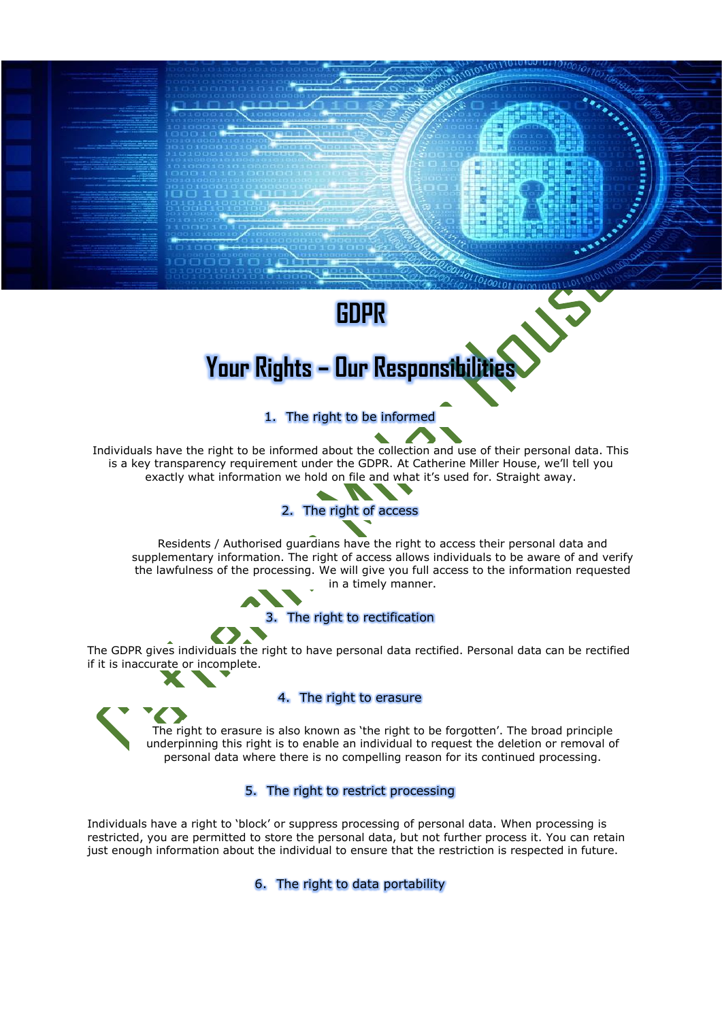# **GDPR**

# **Your Rights – Our Responsibilities**

## 1. The right to be informed

Individuals have the right to be informed about the collection and use of their personal data. This is a key transparency requirement under the GDPR. At Catherine Miller House, we'll tell you exactly what information we hold on file and what it's used for. Straight away.



Residents / Authorised guardians have the right to access their personal data and supplementary information. The right of access allows individuals to be aware of and verify the lawfulness of the processing. We will give you full access to the information requested in a timely manner.

3. The right to rectification

The GDPR gives individuals the right to have personal data rectified. Personal data can be rectified if it is inaccurate or incomplete.

#### 4. The right to erasure

The right to erasure is also known as 'the right to be forgotten'. The broad principle underpinning this right is to enable an individual to request the deletion or removal of personal data where there is no compelling reason for its continued processing.

### 5. The right to restrict processing

Individuals have a right to 'block' or suppress processing of personal data. When processing is restricted, you are permitted to store the personal data, but not further process it. You can retain just enough information about the individual to ensure that the restriction is respected in future.

6. The right to data portability